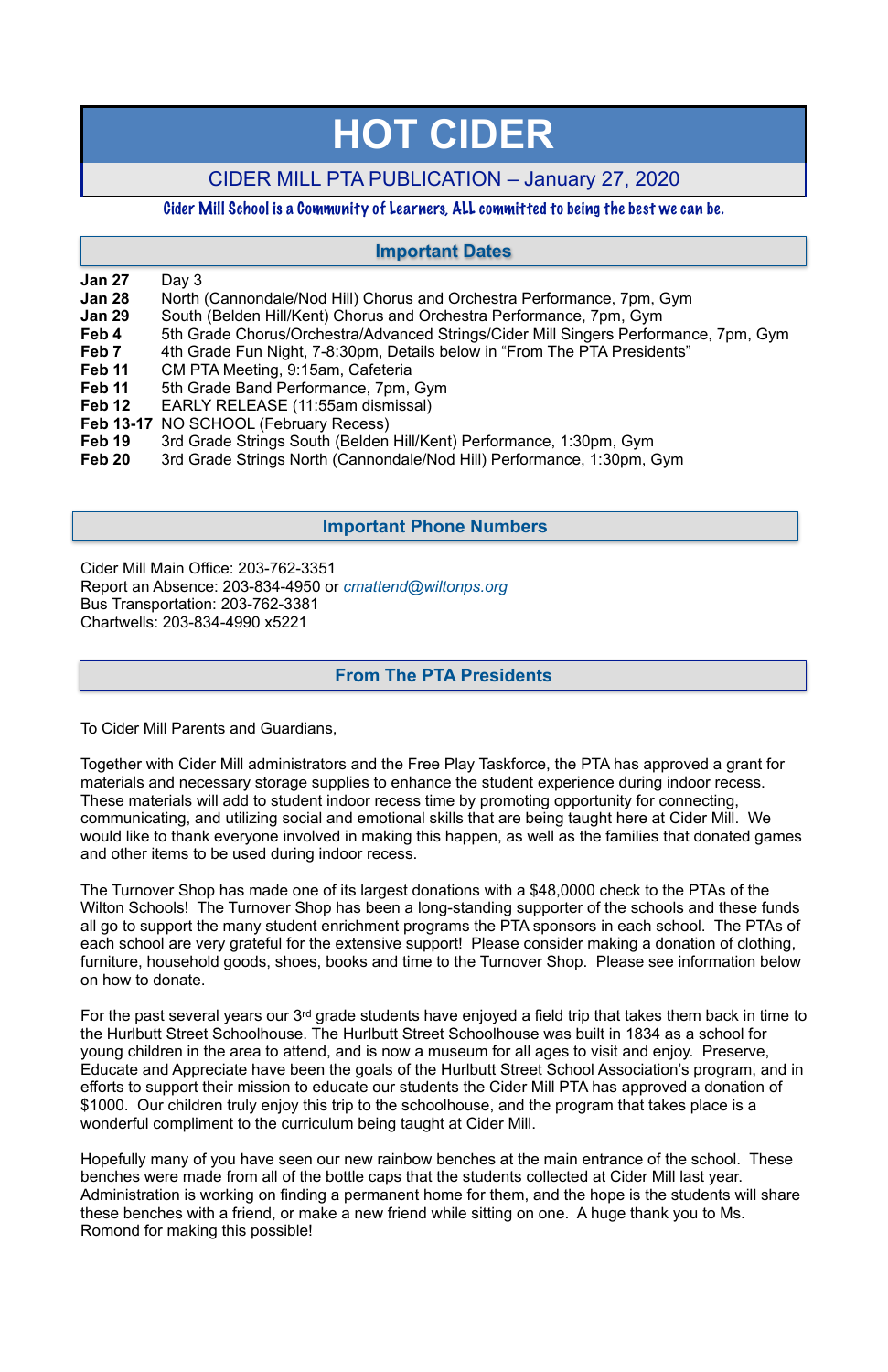## **Jan 27** Day 3

- **Jan 28** North (Cannondale/Nod Hill) Chorus and Orchestra Performance, 7pm, Gym
- **Jan 29** South (Belden Hill/Kent) Chorus and Orchestra Performance, 7pm, Gym
- **Feb 4** 5th Grade Chorus/Orchestra/Advanced Strings/Cider Mill Singers Performance, 7pm, Gym
- **Feb 7** 4th Grade Fun Night, 7-8:30pm, Details below in "From The PTA Presidents"
- Feb 11 CM PTA Meeting, 9:15am, Cafeteria
- **Feb 11** 5th Grade Band Performance, 7pm, Gym
- **Feb 12** EARLY RELEASE (11:55am dismissal)
- **Feb 13-17** NO SCHOOL (February Recess)
- **Feb 19** 3rd Grade Strings South (Belden Hill/Kent) Performance, 1:30pm, Gym
- **Feb 20** 3rd Grade Strings North (Cannondale/Nod Hill) Performance, 1:30pm, Gym

Cider Mill Main Office: 203-762-3351 Report an Absence: 203-834-4950 or *[cmattend@wiltonps.org](mailto:fallonk@wiltonps.org)* Bus Transportation: 203-762-3381 Chartwells: 203-834-4990 x5221

To Cider Mill Parents and Guardians,

Together with Cider Mill administrators and the Free Play Taskforce, the PTA has approved a grant for materials and necessary storage supplies to enhance the student experience during indoor recess. These materials will add to student indoor recess time by promoting opportunity for connecting, communicating, and utilizing social and emotional skills that are being taught here at Cider Mill. We would like to thank everyone involved in making this happen, as well as the families that donated games and other items to be used during indoor recess.

The Turnover Shop has made one of its largest donations with a \$48,0000 check to the PTAs of the Wilton Schools! The Turnover Shop has been a long-standing supporter of the schools and these funds all go to support the many student enrichment programs the PTA sponsors in each school. The PTAs of each school are very grateful for the extensive support! Please consider making a donation of clothing, furniture, household goods, shoes, books and time to the Turnover Shop. Please see information below on how to donate.

For the past several years our 3rd grade students have enjoyed a field trip that takes them back in time to the Hurlbutt Street Schoolhouse. The Hurlbutt Street Schoolhouse was built in 1834 as a school for young children in the area to attend, and is now a museum for all ages to visit and enjoy. Preserve, Educate and Appreciate have been the goals of the Hurlbutt Street School Association's program, and in efforts to support their mission to educate our students the Cider Mill PTA has approved a donation of \$1000. Our children truly enjoy this trip to the schoolhouse, and the program that takes place is a wonderful compliment to the curriculum being taught at Cider Mill.

Hopefully many of you have seen our new rainbow benches at the main entrance of the school. These benches were made from all of the bottle caps that the students collected at Cider Mill last year. Administration is working on finding a permanent home for them, and the hope is the students will share these benches with a friend, or make a new friend while sitting on one. A huge thank you to Ms. Romond for making this possible!

# **HOT CIDER**

# CIDER MILL PTA PUBLICATION – January 27, 2020

## Cider Mill School is a Community of Learners, ALL committed to being the best we can be.

## **From The PTA Presidents**

## **Important Dates**

## **Important Phone Numbers**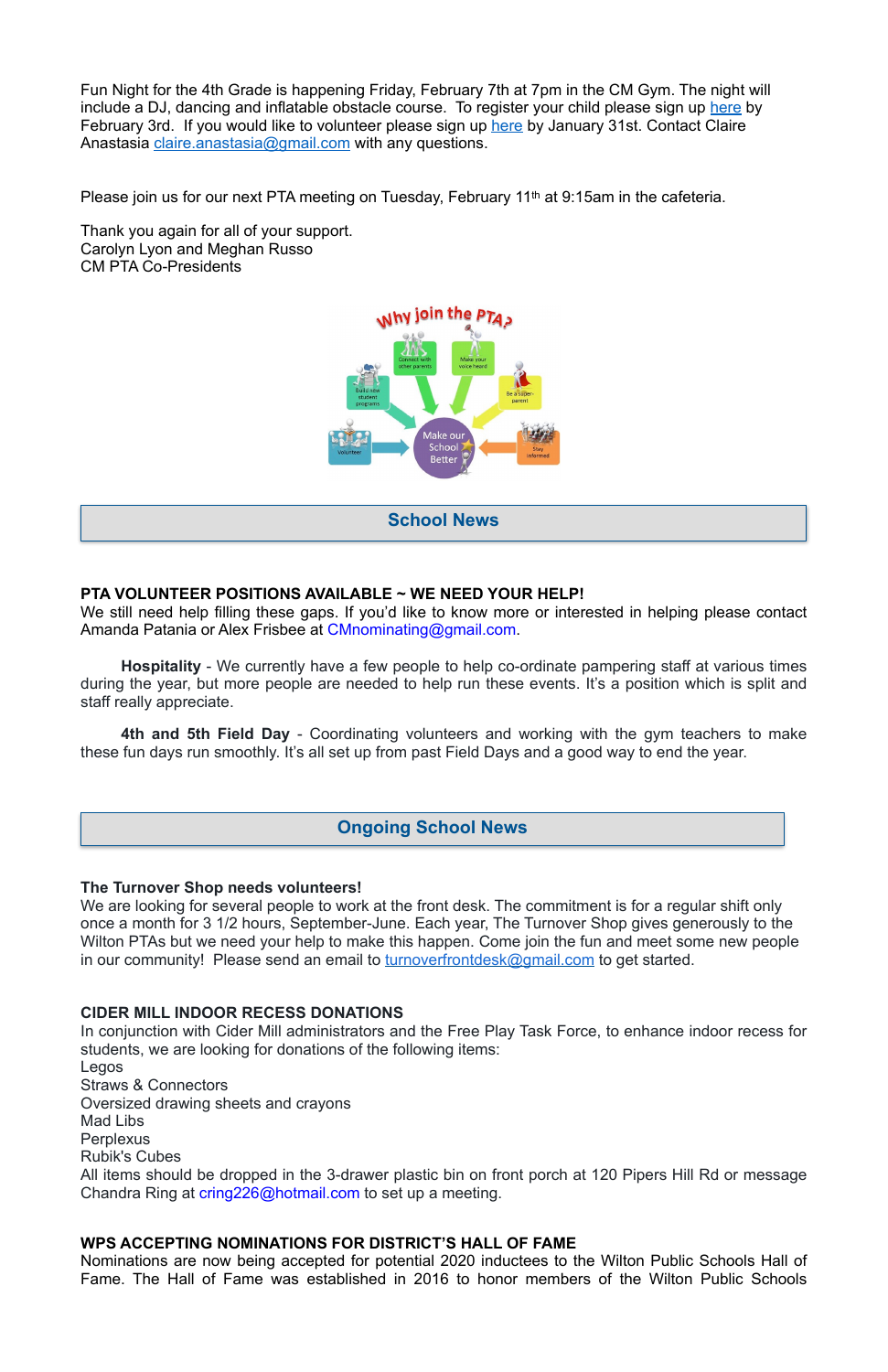Fun Night for the 4th Grade is happening Friday, February 7th at 7pm in the CM Gym. The night will include a DJ, dancing and inflatable obstacle course. To register your child please sign up [here](https://docs.google.com/forms/d/1fn5dSywXZwZyjgR7WaHkOC7gB7YT2JCEXj5qc1iBSXQ/edit) by February 3rd. If you would like to volunteer please sign up [here](https://www.signupgenius.com/go/10c0949a4aa2ea3f85-4thgrade1) by January 31st. Contact Claire Anastasia [claire.anastasia@gmail.com](mailto:claire.anastasia@gmail.com) with any questions.

Please join us for our next PTA meeting on Tuesday, February 11<sup>th</sup> at 9:15am in the cafeteria.

We still need help filling these gaps. If you'd like to know more or interested in helping please contact Amanda Patania or Alex Frisbee at [CMnominating@gmail.com](mailto:CMnominating@gmail.com).

Thank you again for all of your support. Carolyn Lyon and Meghan Russo CM PTA Co-Presidents



#### **PTA VOLUNTEER POSITIONS AVAILABLE ~ WE NEED YOUR HELP!**

**Hospitality** - We currently have a few people to help co-ordinate pampering staff at various times during the year, but more people are needed to help run these events. It's a position which is split and staff really appreciate.

**4th and 5th Field Day** - Coordinating volunteers and working with the gym teachers to make these fun days run smoothly. It's all set up from past Field Days and a good way to end the year.

#### **The Turnover Shop needs volunteers!**

We are looking for several people to work at the front desk. The commitment is for a regular shift only once a month for 3 1/2 hours, September-June. Each year, The Turnover Shop gives generously to the Wilton PTAs but we need your help to make this happen. Come join the fun and meet some new people in our community! Please send an email to **turnoverfrontdesk@gmail.com** to get started.

#### **CIDER MILL INDOOR RECESS DONATIONS**

In conjunction with Cider Mill administrators and the Free Play Task Force, to enhance indoor recess for students, we are looking for donations of the following items:

Legos Straws & Connectors Oversized drawing sheets and crayons Mad Libs **Perplexus** Rubik's Cubes

All items should be dropped in the 3-drawer plastic bin on front porch at 120 Pipers Hill Rd or message Chandra Ring at [cring226@hotmail.com](mailto:cring226@hotmail.com) to set up a meeting.

#### **WPS ACCEPTING NOMINATIONS FOR DISTRICT'S HALL OF FAME**

Nominations are now being accepted for potential 2020 inductees to the Wilton Public Schools Hall of Fame. The Hall of Fame was established in 2016 to honor members of the Wilton Public Schools

**School News**

#### **Ongoing School News**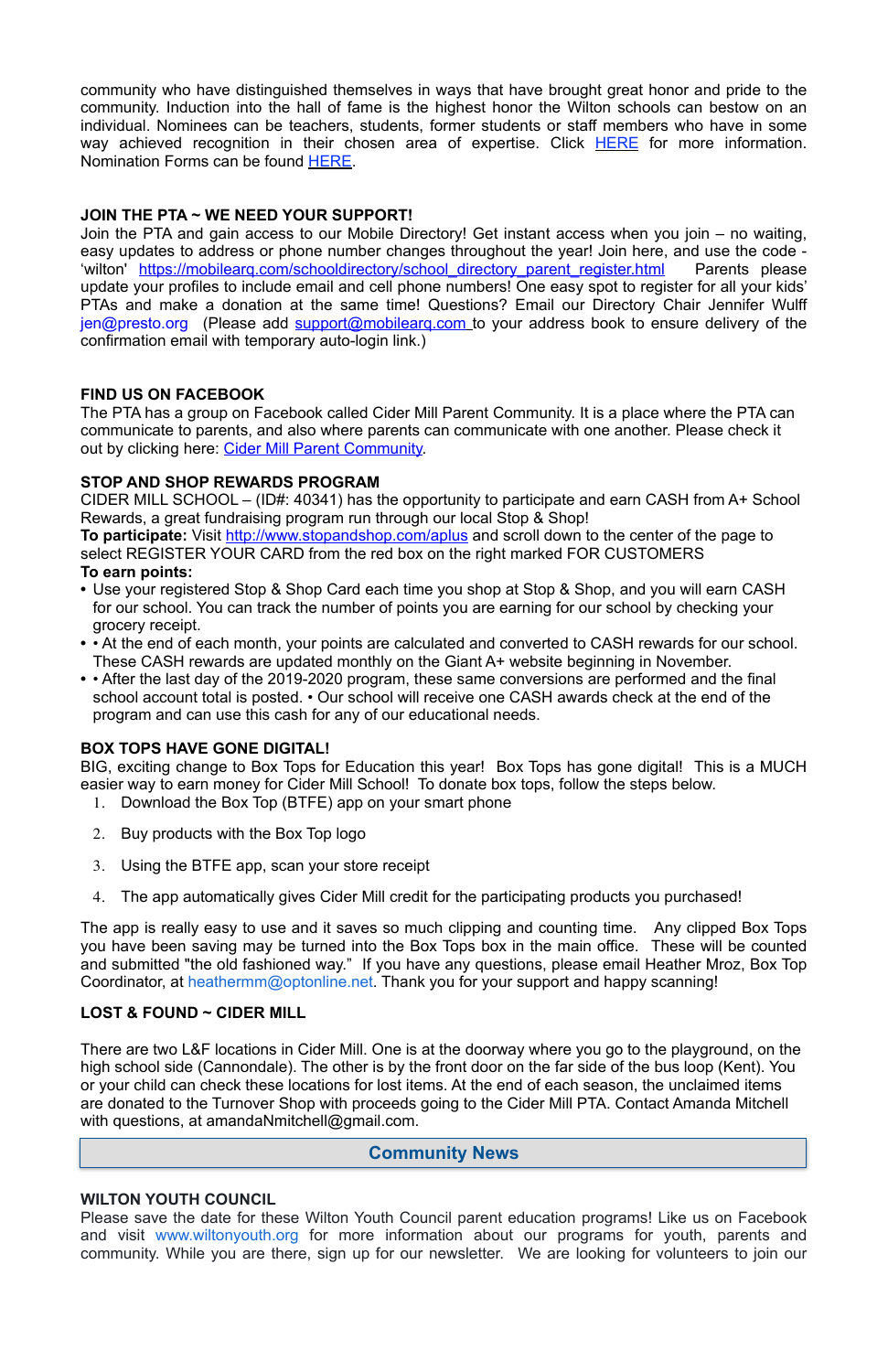community who have distinguished themselves in ways that have brought great honor and pride to the community. Induction into the hall of fame is the highest honor the Wilton schools can bestow on an individual. Nominees can be teachers, students, former students or staff members who have in some way achieved recognition in their chosen area of expertise. Click [HERE](http://track.spe.schoolmessenger.com/f/a/iqm79l0LRU11HSRWpkB1Hw~~/AAAAAQA~/RgRfl0b4P0RSaHR0cHM6Ly9kcml2ZS5nb29nbGUuY29tL2ZpbGUvZC8xeHNpSG1mdmRXZUQ0V0RCYlVmVVZSa2pZMGhSUy1tN3Yvdmlldz91c3A9c2hhcmluZ1cHc2Nob29sbUIKAAB4E7ZdJF1uw1ITd29vZnlAb3B0b25saW5lLm5ldFgEAAAAAQ~~) for more information. Nomination Forms can be found [HERE.](http://track.spe.schoolmessenger.com/f/a/3Yz71ntoAvhN2xGbOg7igg~~/AAAAAQA~/RgRfl0b4P0RSaHR0cHM6Ly9kcml2ZS5nb29nbGUuY29tL2ZpbGUvZC8xVzB2d0F6RExIRExGcFZ1c1Zjc3owclNYejBJWFMxZlMvdmlldz91c3A9c2hhcmluZ1cHc2Nob29sbUIKAAB4E7ZdJF1uw1ITd29vZnlAb3B0b25saW5lLm5ldFgEAAAAAQ~~)

#### **JOIN THE PTA ~ WE NEED YOUR SUPPORT!**

Join the PTA and gain access to our Mobile Directory! Get instant access when you join – no waiting, easy updates to address or phone number changes throughout the year! Join here, and use the code - 'wilton' https://mobilearq.com/schooldirectory/school directory parent register.html Parents please update your profiles to include email and cell phone numbers! One easy spot to register for all your kids' PTAs and make a donation at the same time! Questions? Email our Directory Chair Jennifer Wulff [jen@presto.org](mailto:jen@presto.org) (Please add support@mobilearg.com to your address book to ensure delivery of the confirmation email with temporary auto-login link.)

#### **FIND US ON FACEBOOK**

The PTA has a group on Facebook called Cider Mill Parent Community. It is a place where the PTA can communicate to parents, and also where parents can communicate with one another. Please check it out by clicking here: [Cider Mill Parent Community.](https://www.facebook.com/groups/1168962513117647/)

#### **STOP AND SHOP REWARDS PROGRAM**

CIDER MILL SCHOOL – (ID#: 40341) has the opportunity to participate and earn CASH from A+ School Rewards, a great fundraising program run through our local Stop & Shop!

There are two L&F locations in Cider Mill. One is at the doorway where you go to the playground, on the high school side (Cannondale). The other is by the front door on the far side of the bus loop (Kent). You or your child can check these locations for lost items. At the end of each season, the unclaimed items are donated to the Turnover Shop with proceeds going to the Cider Mill PTA. Contact Amanda Mitchell with questions, at amandaNmitchell@gmail.com.

**To participate:** Visit<http://www.stopandshop.com/aplus>and scroll down to the center of the page to select REGISTER YOUR CARD from the red box on the right marked FOR CUSTOMERS

#### **To earn points:**

- **•** Use your registered Stop & Shop Card each time you shop at Stop & Shop, and you will earn CASH for our school. You can track the number of points you are earning for our school by checking your grocery receipt.
- **•** At the end of each month, your points are calculated and converted to CASH rewards for our school. These CASH rewards are updated monthly on the Giant A+ website beginning in November.
- **•** After the last day of the 2019-2020 program, these same conversions are performed and the final school account total is posted. • Our school will receive one CASH awards check at the end of the program and can use this cash for any of our educational needs.

#### **BOX TOPS HAVE GONE DIGITAL!**

BIG, exciting change to Box Tops for Education this year! Box Tops has gone digital! This is a MUCH easier way to earn money for Cider Mill School! To donate box tops, follow the steps below.

- 1. Download the Box Top (BTFE) app on your smart phone
- 2. Buy products with the Box Top logo
- 3. Using the BTFE app, scan your store receipt
- 4. The app automatically gives Cider Mill credit for the participating products you purchased!

The app is really easy to use and it saves so much clipping and counting time. Any clipped Box Tops you have been saving may be turned into the Box Tops box in the main office. These will be counted and submitted "the old fashioned way." If you have any questions, please email Heather Mroz, Box Top Coordinator, at [heathermm@optonline.net.](mailto:heathermm@optonline.net) Thank you for your support and happy scanning!

#### **LOST & FOUND ~ CIDER MILL**

#### **WILTON YOUTH COUNCIL**

Please save the date for these Wilton Youth Council parent education programs! Like us on Facebook and visit [www.wiltonyouth.org](http://www.wiltonyouth.org/) for more information about our programs for youth, parents and community. While you are there, sign up for our newsletter. We are looking for volunteers to join our

## **Community News**